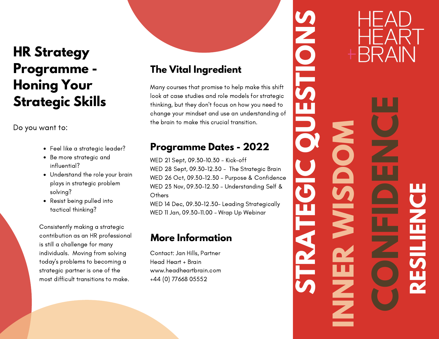## **HR Strategy Programme - Honing Your Strategic Skills**

Do you want to:

- Feel like a strategic leader?
- Be more strategic and influential?
- Understand the role your brain plays in strategic problem solving?
- Resist being pulled into tactical thinking?

Consistently making a strategic contribution as an HR professional is still a challenge for many individuals. Moving from solving today's problems to becoming a strategic partner is one of the most difficult transitions to make.

### **The Vital Ingredient**

Many courses that promise to help make this shift look at case studies and role models for strategic thinking, but they don't focus on how you need to change your mindset and use an understanding of the brain to make this crucial transition.

#### **Programme Dates - 2022**

WED 21 Sept, 09.30-10.30 - Kick-off WED 28 Sept, 09.30-12.30 - The Strategic Brain WED 26 Oct, 09.30-12.30 - Purpose & Confidence WED 23 Nov, 09.30-12.30 - Understanding Self & **Others** 

WED 14 Dec, 09.30-12.30- Leading Strategically WED 11 Jan, 09.30-11.00 - Wrap Up Webinar

#### **More Information**

Contact: Jan Hills, Partner Head Heart + Brain www.headheartbrain.com +44 (0) 77668 05552

**NNERW I S DOMRES ILIENCECNFNCS TRAT EGI CDE**<br> **DE S TONS**